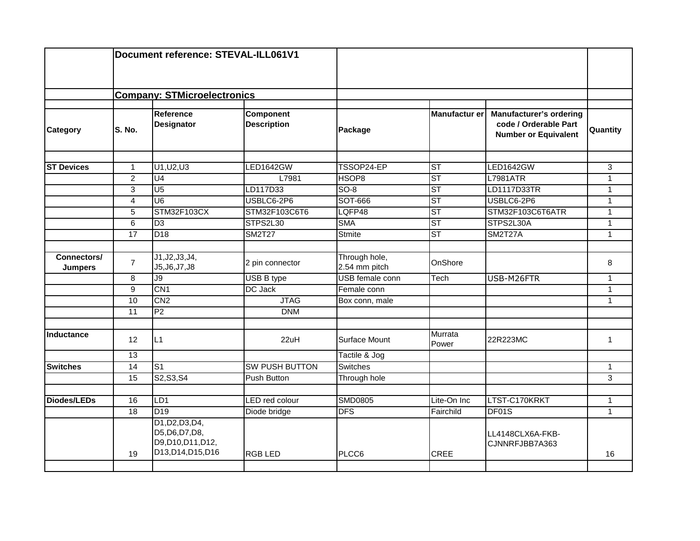|                               | Document reference: STEVAL-ILL061V1 |                                                                                |                                        |                                |                      |                                                                                        |                 |
|-------------------------------|-------------------------------------|--------------------------------------------------------------------------------|----------------------------------------|--------------------------------|----------------------|----------------------------------------------------------------------------------------|-----------------|
|                               | <b>Company: STMicroelectronics</b>  |                                                                                |                                        |                                |                      |                                                                                        |                 |
| <b>Category</b>               | S. No.                              | Reference<br><b>Designator</b>                                                 | <b>Component</b><br><b>Description</b> | Package                        | <b>Manufactur er</b> | <b>Manufacturer's ordering</b><br>code / Orderable Part<br><b>Number or Equivalent</b> | <b>Quantity</b> |
| <b>ST Devices</b>             | $\mathbf{1}$                        | U1, U2, U3                                                                     | LED1642GW                              | TSSOP24-EP                     | <b>ST</b>            | <b>LED1642GW</b>                                                                       | 3               |
|                               | $\overline{2}$                      | U <sub>4</sub>                                                                 | L7981                                  | HSOP <sub>8</sub>              | <b>ST</b>            | <b>L7981ATR</b>                                                                        | $\mathbf{1}$    |
|                               | $\overline{3}$                      | U <sub>5</sub>                                                                 | LD117D33                               | $SO-8$                         | <b>ST</b>            | LD1117D33TR                                                                            | $\mathbf{1}$    |
|                               | $\overline{4}$                      | U <sub>6</sub>                                                                 | USBLC6-2P6                             | SOT-666                        | <b>ST</b>            | USBLC6-2P6                                                                             | $\mathbf{1}$    |
|                               | 5                                   | STM32F103CX                                                                    | STM32F103C6T6                          | LQFP48                         | <b>ST</b>            | STM32F103C6T6ATR                                                                       | 1               |
|                               | $\overline{6}$                      | $\overline{D3}$                                                                | STPS2L30                               | <b>SMA</b>                     | <b>ST</b>            | STPS2L30A                                                                              | $\mathbf{1}$    |
|                               | 17                                  | D <sub>18</sub>                                                                | <b>SM2T27</b>                          | <b>Stmite</b>                  | S <sub>T</sub>       | <b>SM2T27A</b>                                                                         | $\mathbf{1}$    |
| Connectors/<br><b>Jumpers</b> | $\overline{7}$                      | J1, J2, J3, J4,<br>J5, J6, J7, J8                                              | 2 pin connector                        | Through hole,<br>2.54 mm pitch | OnShore              |                                                                                        | 8               |
|                               | 8                                   | $\overline{J9}$                                                                | <b>USB B type</b>                      | USB female conn                | Tech                 | USB-M26FTR                                                                             | $\mathbf{1}$    |
|                               | $\overline{9}$                      | CN <sub>1</sub>                                                                | DC Jack                                | Female conn                    |                      |                                                                                        | $\mathbf{1}$    |
|                               | 10                                  | CN2                                                                            | <b>JTAG</b>                            | Box conn, male                 |                      |                                                                                        | $\mathbf{1}$    |
|                               | $\overline{11}$                     | P <sub>2</sub>                                                                 | <b>DNM</b>                             |                                |                      |                                                                                        |                 |
| Inductance                    | 12                                  | L1                                                                             | 22uH                                   | Surface Mount                  | Murrata<br>Power     | 22R223MC                                                                               | $\mathbf{1}$    |
|                               | 13                                  |                                                                                |                                        | Tactile & Jog                  |                      |                                                                                        |                 |
| <b>Switches</b>               | 14                                  | S <sub>1</sub>                                                                 | <b>SW PUSH BUTTON</b>                  | <b>Switches</b>                |                      |                                                                                        | $\mathbf{1}$    |
|                               | 15                                  | S2, S3, S4                                                                     | Push Button                            | Through hole                   |                      |                                                                                        | 3               |
| <b>Diodes/LEDs</b>            | 16                                  | LD1                                                                            | <b>LED</b> red colour                  | <b>SMD0805</b>                 | Lite-On Inc          | LTST-C170KRKT                                                                          | $\mathbf{1}$    |
|                               | 18                                  | D19                                                                            | Diode bridge                           | <b>DFS</b>                     | Fairchild            | DF01S                                                                                  | $\mathbf{1}$    |
|                               | 19                                  | D1, D2, D3, D4,<br>D5, D6, D7, D8,<br>D9, D10, D11, D12,<br>D13, D14, D15, D16 | <b>RGB LED</b>                         | PLCC6                          | <b>CREE</b>          | LL4148CLX6A-FKB-<br>CJNNRFJBB7A363                                                     | 16              |
|                               |                                     |                                                                                |                                        |                                |                      |                                                                                        |                 |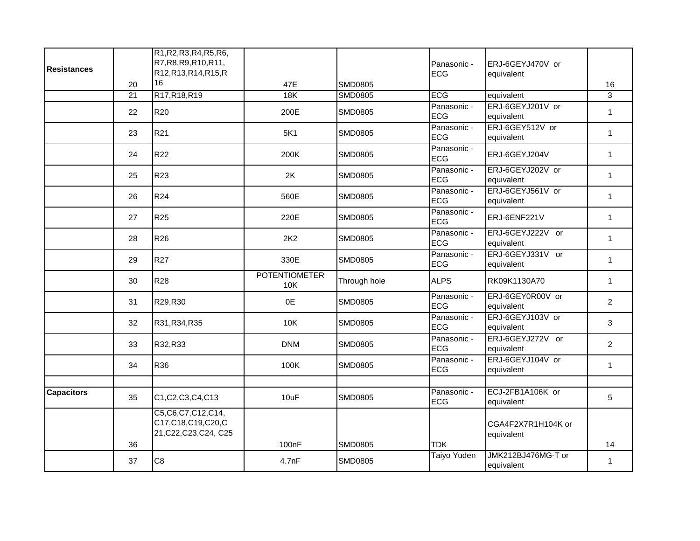| <b>Resistances</b> | 20              | R1, R2, R3, R4, R5, R6,<br>R7, R8, R9, R10, R11,<br>R12, R13, R14, R15, R<br>16 | 47E                         | <b>SMD0805</b> | Panasonic -<br><b>ECG</b> | ERJ-6GEYJ470V or<br>equivalent   | 16             |
|--------------------|-----------------|---------------------------------------------------------------------------------|-----------------------------|----------------|---------------------------|----------------------------------|----------------|
|                    | $\overline{21}$ | R17, R18, R19                                                                   | 18K                         | <b>SMD0805</b> | <b>ECG</b>                | equivalent                       | 3              |
|                    | 22              | <b>R20</b>                                                                      | 200E                        | <b>SMD0805</b> | Panasonic -<br><b>ECG</b> | ERJ-6GEYJ201V or<br>equivalent   | $\mathbf{1}$   |
|                    | 23              | R21                                                                             | 5K1                         | <b>SMD0805</b> | Panasonic -<br><b>ECG</b> | ERJ-6GEY512V or<br>equivalent    | $\mathbf{1}$   |
|                    | 24              | <b>R22</b>                                                                      | 200K                        | <b>SMD0805</b> | Panasonic -<br><b>ECG</b> | ERJ-6GEYJ204V                    | $\mathbf{1}$   |
|                    | 25              | R23                                                                             | 2K                          | <b>SMD0805</b> | Panasonic -<br><b>ECG</b> | ERJ-6GEYJ202V or<br>equivalent   | $\mathbf{1}$   |
|                    | 26              | <b>R24</b>                                                                      | 560E                        | <b>SMD0805</b> | Panasonic -<br><b>ECG</b> | ERJ-6GEYJ561V or<br>equivalent   | $\mathbf{1}$   |
|                    | 27              | <b>R25</b>                                                                      | 220E                        | <b>SMD0805</b> | Panasonic -<br><b>ECG</b> | ERJ-6ENF221V                     | $\mathbf{1}$   |
|                    | 28              | R26                                                                             | 2K2                         | <b>SMD0805</b> | Panasonic -<br><b>ECG</b> | ERJ-6GEYJ222V or<br>equivalent   | $\mathbf{1}$   |
|                    | 29              | <b>R27</b>                                                                      | 330E                        | <b>SMD0805</b> | Panasonic -<br><b>ECG</b> | ERJ-6GEYJ331V or<br>equivalent   | $\mathbf{1}$   |
|                    | 30              | <b>R28</b>                                                                      | <b>POTENTIOMETER</b><br>10K | Through hole   | <b>ALPS</b>               | RK09K1130A70                     | $\mathbf{1}$   |
|                    | 31              | R29,R30                                                                         | 0E                          | <b>SMD0805</b> | Panasonic -<br><b>ECG</b> | ERJ-6GEY0R00V or<br>equivalent   | $\overline{2}$ |
|                    | 32              | R31, R34, R35                                                                   | 10K                         | <b>SMD0805</b> | Panasonic -<br><b>ECG</b> | ERJ-6GEYJ103V or<br>equivalent   | 3              |
|                    | 33              | R32,R33                                                                         | <b>DNM</b>                  | <b>SMD0805</b> | Panasonic -<br><b>ECG</b> | ERJ-6GEYJ272V or<br>equivalent   | $\overline{a}$ |
|                    | 34              | R36                                                                             | 100K                        | <b>SMD0805</b> | Panasonic -<br><b>ECG</b> | ERJ-6GEYJ104V or<br>equivalent   | $\mathbf{1}$   |
|                    |                 |                                                                                 |                             |                |                           |                                  |                |
| <b>Capacitors</b>  | 35              | C1, C2, C3, C4, C13                                                             | 10uF                        | <b>SMD0805</b> | Panasonic -<br><b>ECG</b> | ECJ-2FB1A106K or<br>equivalent   | 5              |
|                    |                 | C5, C6, C7, C12, C14,<br>C17,C18,C19,C20,C<br>21, C22, C23, C24, C25            |                             |                |                           | CGA4F2X7R1H104K or<br>equivalent |                |
|                    | 36              |                                                                                 | 100nF                       | <b>SMD0805</b> | <b>TDK</b>                |                                  | 14             |
|                    | 37              | C <sub>8</sub>                                                                  | 4.7nF                       | <b>SMD0805</b> | <b>Taiyo Yuden</b>        | JMK212BJ476MG-T or<br>equivalent | $\mathbf{1}$   |